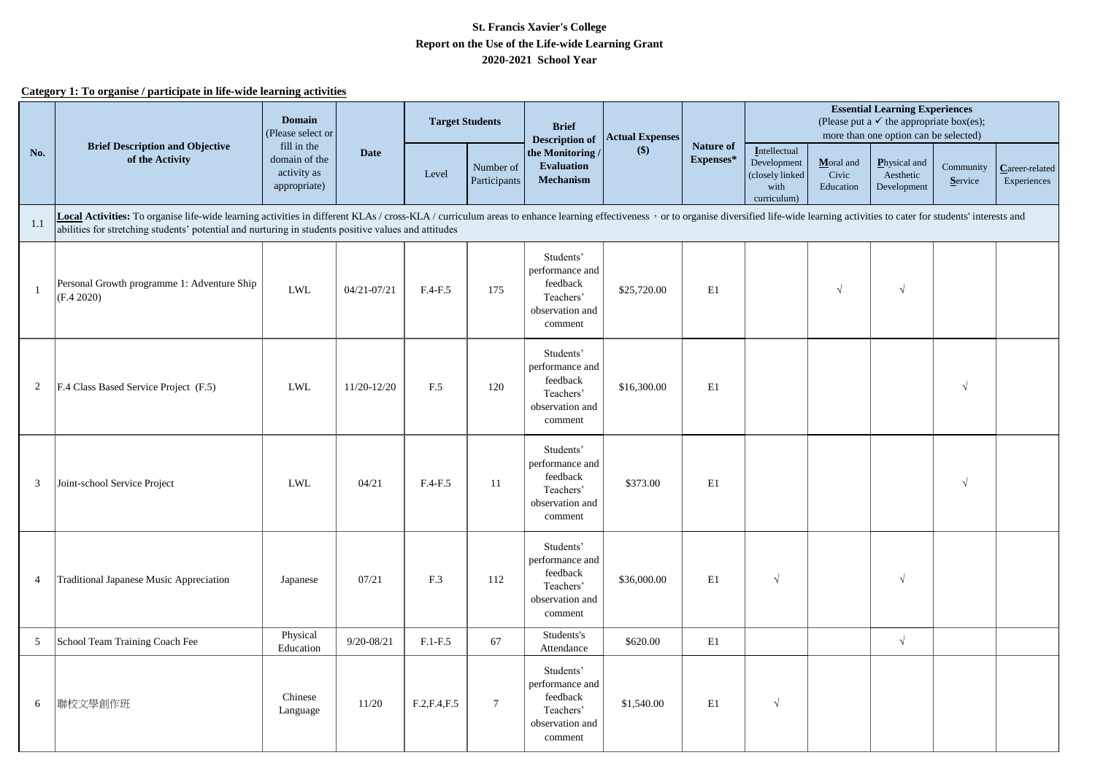## **2020-2021 School Year Report on the Use of the Life-wide Learning Grant St. Francis Xavier's College**

## **Category 1: To organise / participate in life-wide learning activities**

|                | <b>Brief Description and Objective</b><br>of the Activity                                                                                                                                                                                                                                                                              | Domain<br>(Please select or                                 |                 | <b>Target Students</b><br><b>Brief</b><br><b>Actual Expenses</b><br><b>Description of</b> |                           |                                                                                     | <b>Essential Learning Experiences</b><br>(Please put a $\checkmark$ the appropriate box(es);<br>more than one option can be selected) |                        |                                                                       |                                 |                                          |                      |                               |
|----------------|----------------------------------------------------------------------------------------------------------------------------------------------------------------------------------------------------------------------------------------------------------------------------------------------------------------------------------------|-------------------------------------------------------------|-----------------|-------------------------------------------------------------------------------------------|---------------------------|-------------------------------------------------------------------------------------|---------------------------------------------------------------------------------------------------------------------------------------|------------------------|-----------------------------------------------------------------------|---------------------------------|------------------------------------------|----------------------|-------------------------------|
| No.            |                                                                                                                                                                                                                                                                                                                                        | fill in the<br>domain of the<br>activity as<br>appropriate) | <b>Date</b>     | Level                                                                                     | Number of<br>Participants | the Monitoring /<br><b>Evaluation</b><br><b>Mechanism</b>                           | $($)$                                                                                                                                 | Nature of<br>Expenses* | Intellectual<br>Development<br>(closely linked<br>with<br>curriculum) | Moral and<br>Civic<br>Education | Physical and<br>Aesthetic<br>Development | Community<br>Service | Career-related<br>Experiences |
| 1.1            | Local Activities: To organise life-wide learning activities in different KLAs / cross-KLA / curriculum areas to enhance learning effectiveness , or to organise diversified life-wide learning activities to cater for student<br>abilities for stretching students' potential and nurturing in students positive values and attitudes |                                                             |                 |                                                                                           |                           |                                                                                     |                                                                                                                                       |                        |                                                                       |                                 |                                          |                      |                               |
|                | Personal Growth programme 1: Adventure Ship<br>(F.4 2020)                                                                                                                                                                                                                                                                              | <b>LWL</b>                                                  | $04/21 - 07/21$ | $F.4-F.5$                                                                                 | 175                       | Students'<br>performance and<br>feedback<br>Teachers'<br>observation and<br>comment | \$25,720.00                                                                                                                           | E1                     |                                                                       | $\sqrt{2}$                      | $\sqrt{}$                                |                      |                               |
| 2              | F.4 Class Based Service Project (F.5)                                                                                                                                                                                                                                                                                                  | <b>LWL</b>                                                  | 11/20-12/20     | F.5                                                                                       | 120                       | Students'<br>performance and<br>feedback<br>Teachers'<br>observation and<br>comment | \$16,300.00                                                                                                                           | E1                     |                                                                       |                                 |                                          | $\sqrt{ }$           |                               |
| 3              | Joint-school Service Project                                                                                                                                                                                                                                                                                                           | ${\rm LWL}$                                                 | 04/21           | $F.4-F.5$                                                                                 | 11                        | Students'<br>performance and<br>feedback<br>Teachers'<br>observation and<br>comment | \$373.00                                                                                                                              | E1                     |                                                                       |                                 |                                          | $\sqrt{ }$           |                               |
| $\overline{4}$ | Traditional Japanese Music Appreciation                                                                                                                                                                                                                                                                                                | Japanese                                                    | 07/21           | F.3                                                                                       | 112                       | Students'<br>performance and<br>feedback<br>Teachers'<br>observation and<br>comment | \$36,000.00                                                                                                                           | E1                     | $\sqrt{ }$                                                            |                                 | $\sqrt{ }$                               |                      |                               |
| 5              | School Team Training Coach Fee                                                                                                                                                                                                                                                                                                         | Physical<br>Education                                       | $9/20 - 08/21$  | $F.1-F.5$                                                                                 | 67                        | Students's<br>Attendance                                                            | \$620.00                                                                                                                              | E1                     |                                                                       |                                 | $\sqrt{ }$                               |                      |                               |
| 6              | 聯校文學創作班                                                                                                                                                                                                                                                                                                                                | Chinese<br>Language                                         | 11/20           | F.2, F.4, F.5                                                                             | $7\phantom{.0}$           | Students'<br>performance and<br>feedback<br>Teachers'<br>observation and<br>comment | \$1,540.00                                                                                                                            | E1                     | $\sqrt{ }$                                                            |                                 |                                          |                      |                               |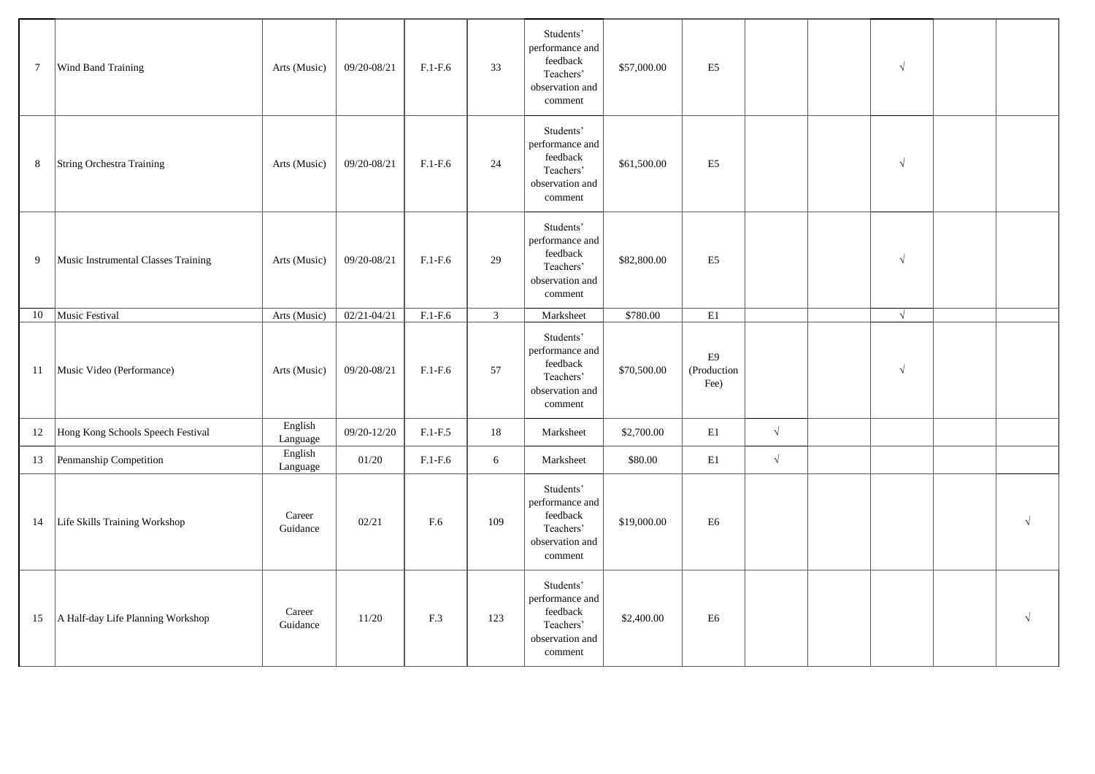| $7\phantom{.0}$ | Wind Band Training                  | Arts (Music)        | 09/20-08/21     | $F.1-F.6$ | 33             | Students'<br>performance and<br>feedback<br>Teachers'<br>observation and<br>comment | \$57,000.00 | E <sub>5</sub>            |            | $\sqrt{}$  |            |
|-----------------|-------------------------------------|---------------------|-----------------|-----------|----------------|-------------------------------------------------------------------------------------|-------------|---------------------------|------------|------------|------------|
| 8               | String Orchestra Training           | Arts (Music)        | 09/20-08/21     | $F.1-F.6$ | 24             | Students'<br>performance and<br>feedback<br>Teachers'<br>observation and<br>comment | \$61,500.00 | E <sub>5</sub>            |            | $\sqrt{ }$ |            |
| 9               | Music Instrumental Classes Training | Arts (Music)        | 09/20-08/21     | $F.1-F.6$ | 29             | Students'<br>performance and<br>feedback<br>Teachers'<br>observation and<br>comment | \$82,800.00 | E <sub>5</sub>            |            | $\sqrt{ }$ |            |
| 10              | Music Festival                      | Arts (Music)        | $02/21 - 04/21$ | $F.1-F.6$ | 3 <sup>7</sup> | Marksheet                                                                           | \$780.00    | $\mathbf{E}1$             |            | $\sqrt{ }$ |            |
| 11              | Music Video (Performance)           | Arts (Music)        | 09/20-08/21     | $F.1-F.6$ | 57             | Students'<br>performance and<br>feedback<br>Teachers'<br>observation and<br>comment | \$70,500.00 | E9<br>(Production<br>Fee) |            | $\sqrt{ }$ |            |
| 12              | Hong Kong Schools Speech Festival   | English<br>Language | 09/20-12/20     | $F.1-F.5$ | 18             | Marksheet                                                                           | \$2,700.00  | E1                        | $\sqrt{ }$ |            |            |
| 13              | Penmanship Competition              | English<br>Language | 01/20           | $F.1-F.6$ | 6              | Marksheet                                                                           | \$80.00     | $\mathbf{E}1$             | $\sqrt{}$  |            |            |
| 14              | Life Skills Training Workshop       | Career<br>Guidance  | 02/21           | F.6       | 109            | Students'<br>performance and<br>feedback<br>Teachers'<br>observation and<br>comment | \$19,000.00 | E <sub>6</sub>            |            |            | $\sqrt{ }$ |
| 15              | A Half-day Life Planning Workshop   | Career<br>Guidance  | 11/20           | F.3       | 123            | Students'<br>performance and<br>feedback<br>Teachers'<br>observation and<br>comment | \$2,400.00  | E <sub>6</sub>            |            |            |            |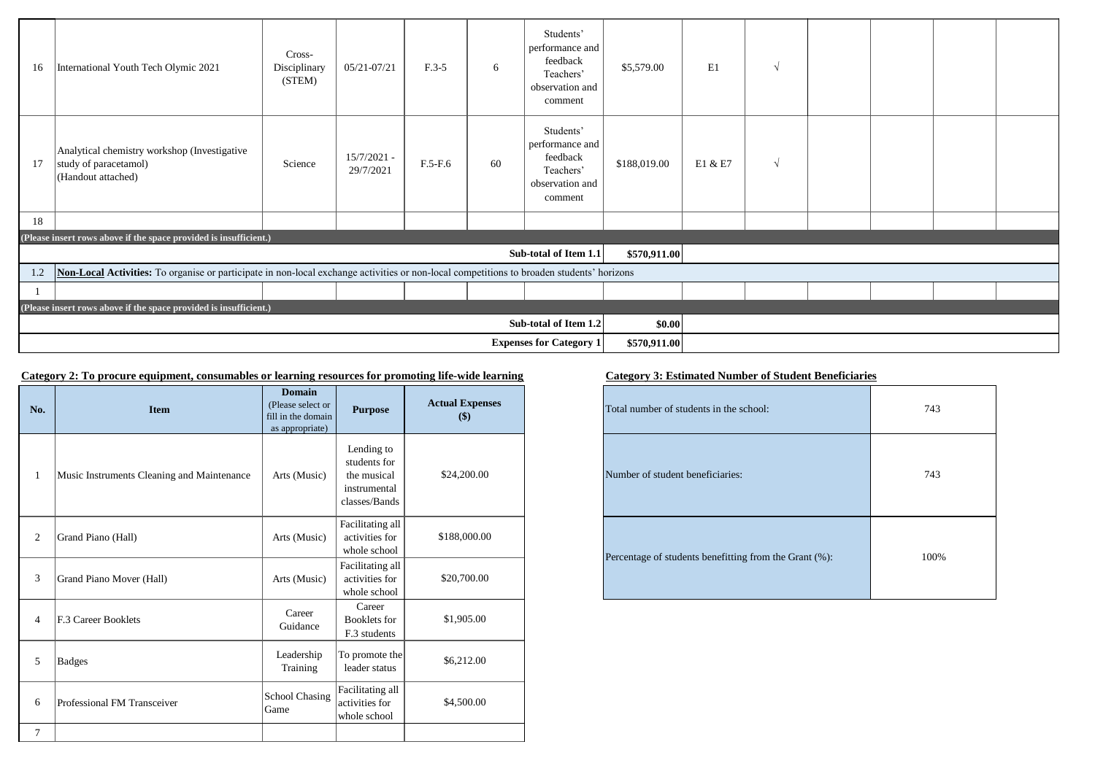| 16                                                                                                                                               | International Youth Tech Olymic 2021                                                        | Cross-<br>Disciplinary<br>(STEM) | 05/21-07/21                | $F.3-5$   | 6      | Students'<br>performance and<br>feedback<br>Teachers'<br>observation and<br>comment | \$5,579.00   | E1      | $\sqrt{ }$ |  |  |
|--------------------------------------------------------------------------------------------------------------------------------------------------|---------------------------------------------------------------------------------------------|----------------------------------|----------------------------|-----------|--------|-------------------------------------------------------------------------------------|--------------|---------|------------|--|--|
| 17                                                                                                                                               | Analytical chemistry workshop (Investigative<br>study of paracetamol)<br>(Handout attached) | Science                          | $15/7/2021 -$<br>29/7/2021 | $F.5-F.6$ | 60     | Students'<br>performance and<br>feedback<br>Teachers'<br>observation and<br>comment | \$188,019.00 | E1 & E7 | $\sqrt{ }$ |  |  |
| 18                                                                                                                                               |                                                                                             |                                  |                            |           |        |                                                                                     |              |         |            |  |  |
|                                                                                                                                                  | (Please insert rows above if the space provided is insufficient.)                           |                                  |                            |           |        |                                                                                     |              |         |            |  |  |
|                                                                                                                                                  |                                                                                             |                                  |                            |           |        | Sub-total of Item 1.1                                                               | \$570,911.00 |         |            |  |  |
| Non-Local Activities: To organise or participate in non-local exchange activities or non-local competitions to broaden students' horizons<br>1.2 |                                                                                             |                                  |                            |           |        |                                                                                     |              |         |            |  |  |
|                                                                                                                                                  |                                                                                             |                                  |                            |           |        |                                                                                     |              |         |            |  |  |
|                                                                                                                                                  | (Please insert rows above if the space provided is insufficient.)                           |                                  |                            |           |        |                                                                                     |              |         |            |  |  |
| Sub-total of Item 1.2                                                                                                                            |                                                                                             |                                  |                            |           | \$0.00 |                                                                                     |              |         |            |  |  |
| <b>Expenses for Category 1</b>                                                                                                                   |                                                                                             |                                  |                            |           |        | \$570,911.00                                                                        |              |         |            |  |  |

## **Category 2: To procure equipment, consumables or learning resources for promoting life-wide learning Category 3: Estimated Number of Student Beneficiaries**

| No.            | <b>Item</b>                                | <b>Domain</b><br>(Please select or<br>fill in the domain<br>as appropriate) | <b>Purpose</b>                                                             | <b>Actual Expenses</b><br>\$) |
|----------------|--------------------------------------------|-----------------------------------------------------------------------------|----------------------------------------------------------------------------|-------------------------------|
| 1              | Music Instruments Cleaning and Maintenance | Arts (Music)                                                                | Lending to<br>students for<br>the musical<br>instrumental<br>classes/Bands | \$24,200.00                   |
| $\overline{2}$ | Grand Piano (Hall)                         | Arts (Music)                                                                | Facilitating all<br>activities for<br>whole school                         | \$188,000.00                  |
| 3              | Grand Piano Mover (Hall)                   | Arts (Music)                                                                | Facilitating all<br>activities for<br>whole school                         | \$20,700.00                   |
| $\overline{4}$ | F.3 Career Booklets                        | Career<br>Guidance                                                          | Career<br><b>Booklets</b> for<br>F.3 students                              | \$1,905.00                    |
| 5              | <b>Badges</b>                              | Leadership<br>Training                                                      | To promote the<br>leader status                                            | \$6,212.00                    |
| 6              | Professional FM Transceiver                | School Chasing<br>Game                                                      | Facilitating all<br>activities for<br>whole school                         | \$4,500.00                    |
| $\tau$         |                                            |                                                                             |                                                                            |                               |

| tual Expenses<br>$($)$ | Total number of students in the school:                | 743  |  |  |
|------------------------|--------------------------------------------------------|------|--|--|
| \$24,200.00            | Number of student beneficiaries:                       | 743  |  |  |
| \$188,000.00           | Percentage of students benefitting from the Grant (%): | 100% |  |  |
| \$20,700.00            |                                                        |      |  |  |